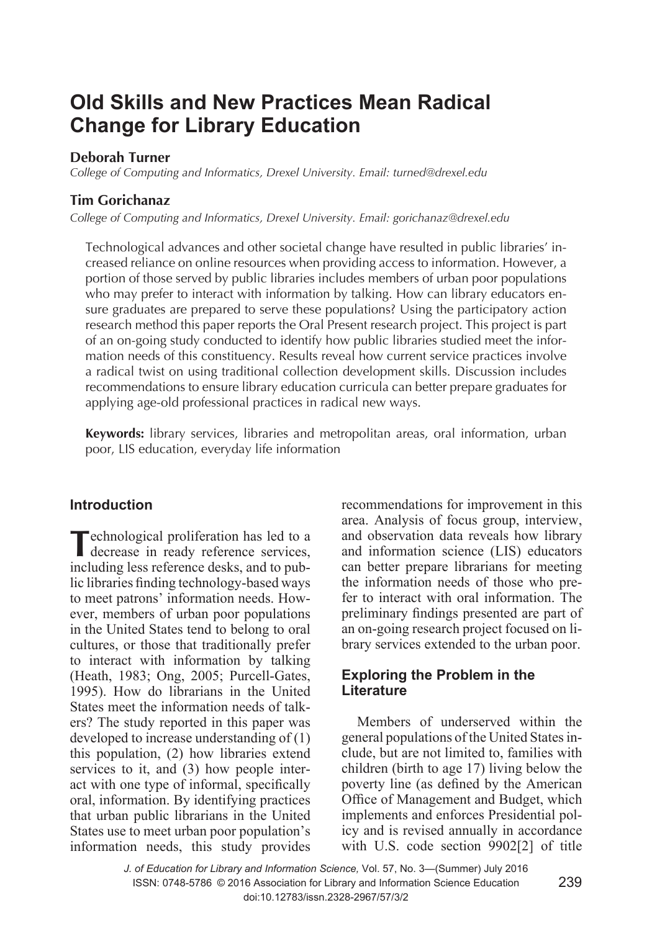# **Old Skills and New Practices Mean Radical Change for Library Education**

#### **Deborah Turner**

*College of Computing and Informatics, Drexel University. Email: turned@drexel.edu* 

## **Tim Gorichanaz**

*College of Computing and Informatics, Drexel University. Email: gorichanaz@drexel.edu* 

Technological advances and other societal change have resulted in public libraries' increased reliance on online resources when providing access to information. However, a portion of those served by public libraries includes members of urban poor populations who may prefer to interact with information by talking. How can library educators ensure graduates are prepared to serve these populations? Using the participatory action research method this paper reports the Oral Present research project. This project is part of an on-going study conducted to identify how public libraries studied meet the information needs of this constituency. Results reveal how current service practices involve a radical twist on using traditional collection development skills. Discussion includes recommendations to ensure library education curricula can better prepare graduates for applying age-old professional practices in radical new ways.

**Keywords:** library services, libraries and metropolitan areas, oral information, urban poor, LIS education, everyday life information

## **Introduction**

**T**echnological proliferation has led to a decrease in ready reference services, including less reference desks, and to public libraries finding technology-based ways to meet patrons' information needs. However, members of urban poor populations in the United States tend to belong to oral cultures, or those that traditionally prefer to interact with information by talking (Heath, 1983; Ong, 2005; Purcell-Gates, 1995). How do librarians in the United States meet the information needs of talkers? The study reported in this paper was developed to increase understanding of (1) this population, (2) how libraries extend services to it, and (3) how people interact with one type of informal, specifically oral, information. By identifying practices that urban public librarians in the United States use to meet urban poor population's information needs, this study provides

recommendations for improvement in this area. Analysis of focus group, interview, and observation data reveals how library and information science (LIS) educators can better prepare librarians for meeting the information needs of those who prefer to interact with oral information. The preliminary findings presented are part of an on-going research project focused on library services extended to the urban poor.

## **Exploring the Problem in the Literature**

Members of underserved within the general populations of the United States include, but are not limited to, families with children (birth to age 17) living below the poverty line (as defined by the American Office of Management and Budget, which implements and enforces Presidential policy and is revised annually in accordance with U.S. code section 9902[2] of title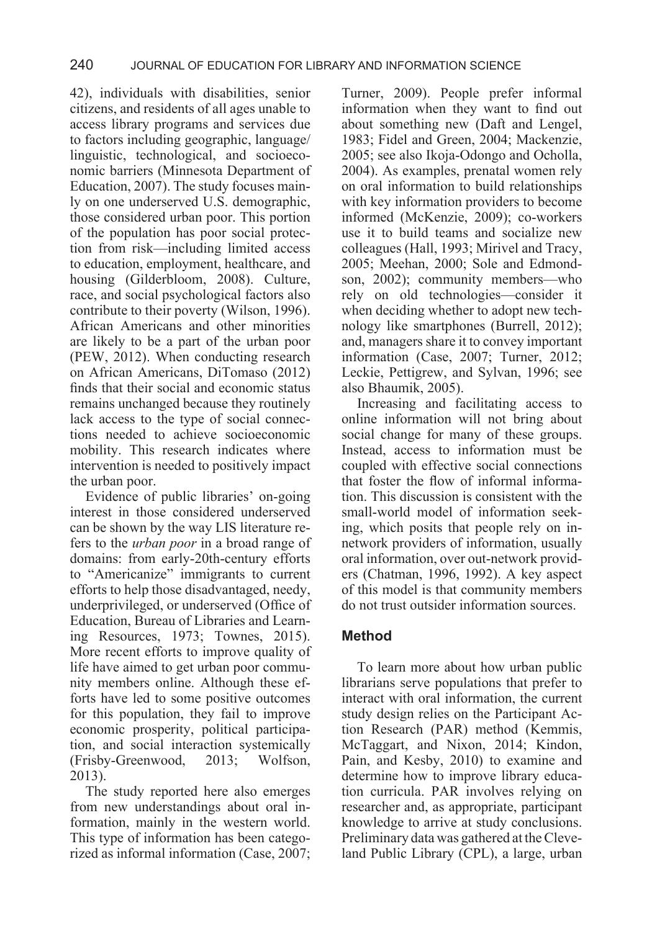42), individuals with disabilities, senior citizens, and residents of all ages unable to access library programs and services due to factors including geographic, language/ linguistic, technological, and socioeconomic barriers (Minnesota Department of Education, 2007). The study focuses mainly on one underserved U.S. demographic, those considered urban poor. This portion of the population has poor social protection from risk—including limited access to education, employment, healthcare, and housing (Gilderbloom, 2008). Culture, race, and social psychological factors also contribute to their poverty (Wilson, 1996). African Americans and other minorities are likely to be a part of the urban poor (PEW, 2012). When conducting research on African Americans, DiTomaso (2012) finds that their social and economic status remains unchanged because they routinely lack access to the type of social connections needed to achieve socioeconomic mobility. This research indicates where intervention is needed to positively impact the urban poor.

Evidence of public libraries' on-going interest in those considered underserved can be shown by the way LIS literature refers to the *urban poor* in a broad range of domains: from early-20th-century efforts to "Americanize" immigrants to current efforts to help those disadvantaged, needy, underprivileged, or underserved (Office of Education, Bureau of Libraries and Learning Resources, 1973; Townes, 2015). More recent efforts to improve quality of life have aimed to get urban poor community members online. Although these efforts have led to some positive outcomes for this population, they fail to improve economic prosperity, political participation, and social interaction systemically (Frisby-Greenwood, 2013; Wolfson, 2013).

The study reported here also emerges from new understandings about oral information, mainly in the western world. This type of information has been categorized as informal information (Case, 2007; Turner, 2009). People prefer informal information when they want to find out about something new (Daft and Lengel, 1983; Fidel and Green, 2004; Mackenzie, 2005; see also Ikoja-Odongo and Ocholla, 2004). As examples, prenatal women rely on oral information to build relationships with key information providers to become informed (McKenzie, 2009); co-workers use it to build teams and socialize new colleagues (Hall, 1993; Mirivel and Tracy, 2005; Meehan, 2000; Sole and Edmondson, 2002); community members—who rely on old technologies—consider it when deciding whether to adopt new technology like smartphones (Burrell, 2012); and, managers share it to convey important information (Case, 2007; Turner, 2012; Leckie, Pettigrew, and Sylvan, 1996; see also Bhaumik, 2005).

Increasing and facilitating access to online information will not bring about social change for many of these groups. Instead, access to information must be coupled with effective social connections that foster the flow of informal information. This discussion is consistent with the small-world model of information seeking, which posits that people rely on innetwork providers of information, usually oral information, over out-network providers (Chatman, 1996, 1992). A key aspect of this model is that community members do not trust outsider information sources.

# **Method**

To learn more about how urban public librarians serve populations that prefer to interact with oral information, the current study design relies on the Participant Action Research (PAR) method (Kemmis, McTaggart, and Nixon, 2014; Kindon, Pain, and Kesby, 2010) to examine and determine how to improve library education curricula. PAR involves relying on researcher and, as appropriate, participant knowledge to arrive at study conclusions. Preliminary data was gathered at the Cleveland Public Library (CPL), a large, urban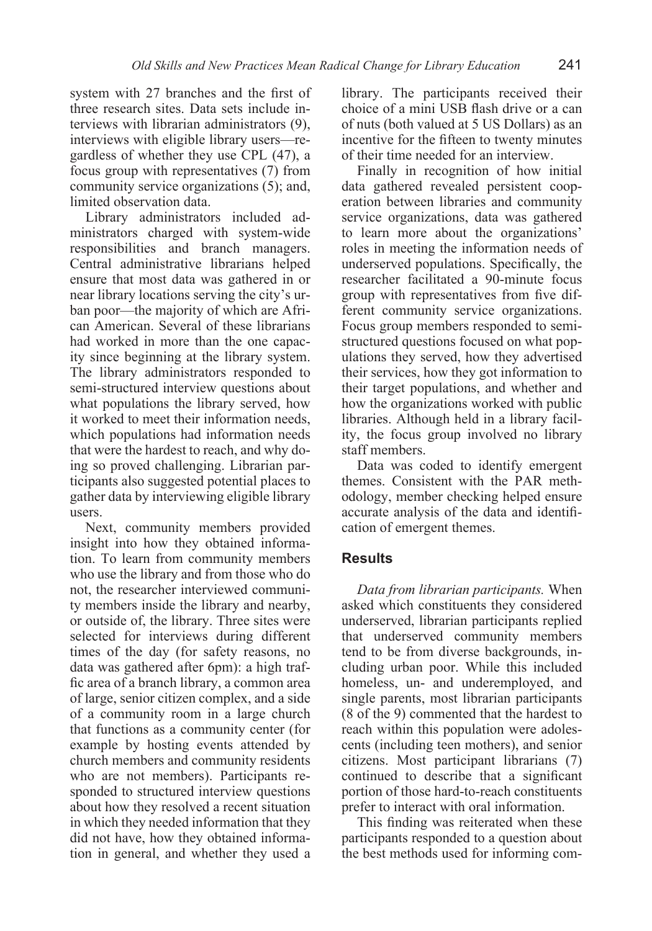system with 27 branches and the first of three research sites. Data sets include interviews with librarian administrators (9), interviews with eligible library users—regardless of whether they use CPL (47), a focus group with representatives (7) from community service organizations (5); and, limited observation data.

Library administrators included administrators charged with system-wide responsibilities and branch managers. Central administrative librarians helped ensure that most data was gathered in or near library locations serving the city's urban poor—the majority of which are African American. Several of these librarians had worked in more than the one capacity since beginning at the library system. The library administrators responded to semi-structured interview questions about what populations the library served, how it worked to meet their information needs, which populations had information needs that were the hardest to reach, and why doing so proved challenging. Librarian participants also suggested potential places to gather data by interviewing eligible library users.

Next, community members provided insight into how they obtained information. To learn from community members who use the library and from those who do not, the researcher interviewed community members inside the library and nearby, or outside of, the library. Three sites were selected for interviews during different times of the day (for safety reasons, no data was gathered after 6pm): a high traffic area of a branch library, a common area of large, senior citizen complex, and a side of a community room in a large church that functions as a community center (for example by hosting events attended by church members and community residents who are not members). Participants responded to structured interview questions about how they resolved a recent situation in which they needed information that they did not have, how they obtained information in general, and whether they used a library. The participants received their choice of a mini USB flash drive or a can of nuts (both valued at 5 US Dollars) as an incentive for the fifteen to twenty minutes of their time needed for an interview.

Finally in recognition of how initial data gathered revealed persistent cooperation between libraries and community service organizations, data was gathered to learn more about the organizations' roles in meeting the information needs of underserved populations. Specifically, the researcher facilitated a 90-minute focus group with representatives from five different community service organizations. Focus group members responded to semistructured questions focused on what populations they served, how they advertised their services, how they got information to their target populations, and whether and how the organizations worked with public libraries. Although held in a library facility, the focus group involved no library staff members.

Data was coded to identify emergent themes. Consistent with the PAR methodology, member checking helped ensure accurate analysis of the data and identification of emergent themes.

## **Results**

*Data from librarian participants.* When asked which constituents they considered underserved, librarian participants replied that underserved community members tend to be from diverse backgrounds, including urban poor. While this included homeless, un- and underemployed, and single parents, most librarian participants (8 of the 9) commented that the hardest to reach within this population were adolescents (including teen mothers), and senior citizens. Most participant librarians (7) continued to describe that a significant portion of those hard-to-reach constituents prefer to interact with oral information.

This finding was reiterated when these participants responded to a question about the best methods used for informing com-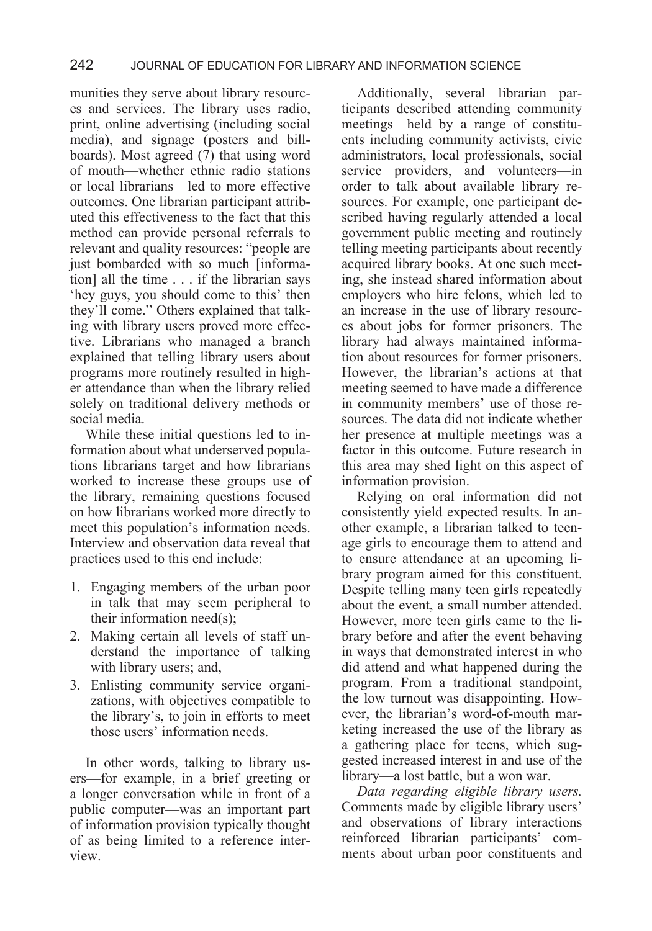munities they serve about library resources and services. The library uses radio, print, online advertising (including social media), and signage (posters and billboards). Most agreed  $(7)$  that using word of mouth—whether ethnic radio stations or local librarians—led to more effective outcomes. One librarian participant attributed this effectiveness to the fact that this method can provide personal referrals to relevant and quality resources: "people are just bombarded with so much [information] all the time . . . if the librarian says 'hey guys, you should come to this' then they'll come." Others explained that talking with library users proved more effective. Librarians who managed a branch explained that telling library users about programs more routinely resulted in higher attendance than when the library relied solely on traditional delivery methods or social media.

While these initial questions led to information about what underserved populations librarians target and how librarians worked to increase these groups use of the library, remaining questions focused on how librarians worked more directly to meet this population's information needs. Interview and observation data reveal that practices used to this end include:

- 1. Engaging members of the urban poor in talk that may seem peripheral to their information need(s);
- 2. Making certain all levels of staff understand the importance of talking with library users; and,
- 3. Enlisting community service organizations, with objectives compatible to the library's, to join in efforts to meet those users' information needs.

In other words, talking to library users—for example, in a brief greeting or a longer conversation while in front of a public computer—was an important part of information provision typically thought of as being limited to a reference interview.

Additionally, several librarian participants described attending community meetings—held by a range of constituents including community activists, civic administrators, local professionals, social service providers, and volunteers—in order to talk about available library resources. For example, one participant described having regularly attended a local government public meeting and routinely telling meeting participants about recently acquired library books. At one such meeting, she instead shared information about employers who hire felons, which led to an increase in the use of library resources about jobs for former prisoners. The library had always maintained information about resources for former prisoners. However, the librarian's actions at that meeting seemed to have made a difference in community members' use of those resources. The data did not indicate whether her presence at multiple meetings was a factor in this outcome. Future research in this area may shed light on this aspect of information provision.

Relying on oral information did not consistently yield expected results. In another example, a librarian talked to teenage girls to encourage them to attend and to ensure attendance at an upcoming library program aimed for this constituent. Despite telling many teen girls repeatedly about the event, a small number attended. However, more teen girls came to the library before and after the event behaving in ways that demonstrated interest in who did attend and what happened during the program. From a traditional standpoint, the low turnout was disappointing. However, the librarian's word-of-mouth marketing increased the use of the library as a gathering place for teens, which suggested increased interest in and use of the library—a lost battle, but a won war.

*Data regarding eligible library users.* Comments made by eligible library users' and observations of library interactions reinforced librarian participants' comments about urban poor constituents and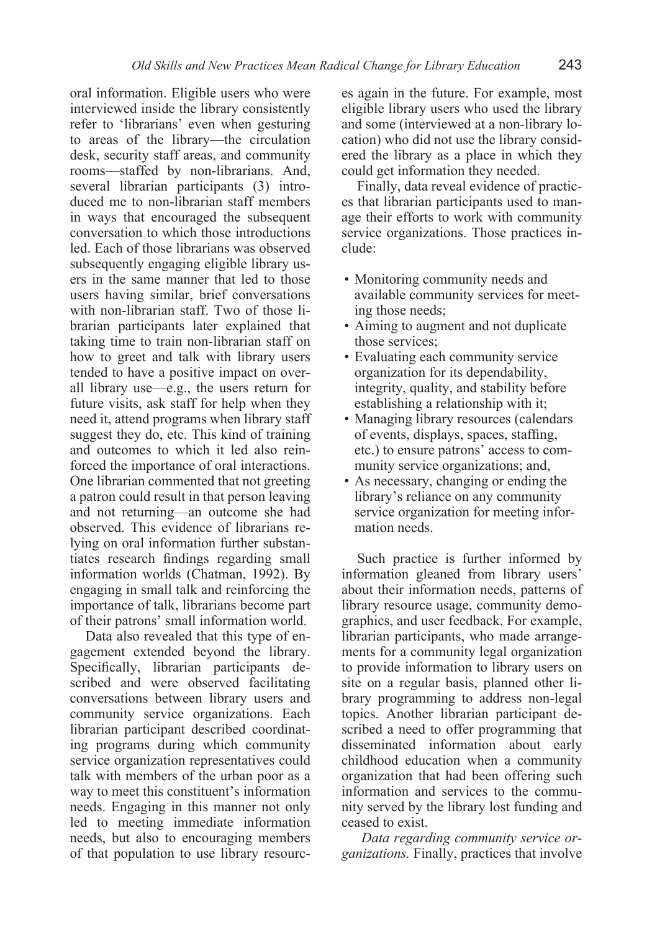oral information. Eligible users who were interviewed inside the library consistently refer to 'librarians' even when gesturing to areas of the library—the circulation desk, security staff areas, and community rooms—staffed by non-librarians. And, several librarian participants (3) introduced me to non-librarian staff members in ways that encouraged the subsequent conversation to which those introductions led. Each of those librarians was observed subsequently engaging eligible library users in the same manner that led to those users having similar, brief conversations with non-librarian staff. Two of those librarian participants later explained that taking time to train non-librarian staff on how to greet and talk with library users tended to have a positive impact on overall library use—e.g., the users return for future visits, ask staff for help when they need it, attend programs when library staff suggest they do, etc. This kind of training and outcomes to which it led also reinforced the importance of oral interactions. One librarian commented that not greeting a patron could result in that person leaving and not returning—an outcome she had observed. This evidence of librarians relying on oral information further substantiates research findings regarding small information worlds (Chatman, 1992). By engaging in small talk and reinforcing the importance of talk, librarians become part of their patrons' small information world.

Data also revealed that this type of engagement extended beyond the library. Specifically, librarian participants described and were observed facilitating conversations between library users and community service organizations. Each librarian participant described coordinating programs during which community service organization representatives could talk with members of the urban poor as a way to meet this constituent's information needs. Engaging in this manner not only led to meeting immediate information needs, but also to encouraging members of that population to use library resources again in the future. For example, most eligible library users who used the library and some (interviewed at a non-library location) who did not use the library considered the library as a place in which they could get information they needed.

Finally, data reveal evidence of practices that librarian participants used to manage their efforts to work with community service organizations. Those practices include:

- Monitoring community needs and available community services for meeting those needs;
- Aiming to augment and not duplicate those services;
- Evaluating each community service organization for its dependability, integrity, quality, and stability before establishing a relationship with it;
- Managing library resources (calendars of events, displays, spaces, staffing, etc.) to ensure patrons' access to community service organizations; and,
- As necessary, changing or ending the library's reliance on any community service organization for meeting information needs.

Such practice is further informed by information gleaned from library users' about their information needs, patterns of library resource usage, community demographics, and user feedback. For example, librarian participants, who made arrangements for a community legal organization to provide information to library users on site on a regular basis, planned other library programming to address non-legal topics. Another librarian participant described a need to offer programming that disseminated information about early childhood education when a community organization that had been offering such information and services to the community served by the library lost funding and ceased to exist.

*Data regarding community service organizations.* Finally, practices that involve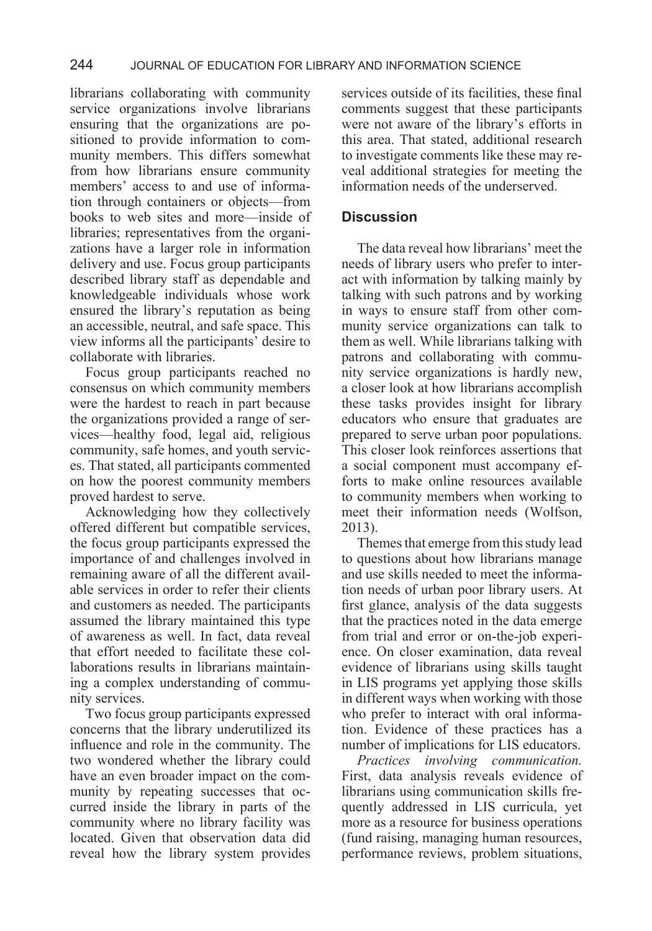librarians collaborating with community service organizations involve librarians ensuring that the organizations are positioned to provide information to community members. This differs somewhat from how librarians ensure community members' access to and use of information through containers or objects—from books to web sites and more—inside of libraries; representatives from the organizations have a larger role in information delivery and use. Focus group participants described library staff as dependable and knowledgeable individuals whose work ensured the library's reputation as being an accessible, neutral, and safe space. This view informs all the participants' desire to collaborate with libraries.

Focus group participants reached no consensus on which community members were the hardest to reach in part because the organizations provided a range of services—healthy food, legal aid, religious community, safe homes, and youth services. That stated, all participants commented on how the poorest community members proved hardest to serve.

Acknowledging how they collectively offered different but compatible services, the focus group participants expressed the importance of and challenges involved in remaining aware of all the different available services in order to refer their clients and customers as needed. The participants assumed the library maintained this type of awareness as well. In fact, data reveal that effort needed to facilitate these collaborations results in librarians maintaining a complex understanding of community services.

Two focus group participants expressed concerns that the library underutilized its influence and role in the community. The two wondered whether the library could have an even broader impact on the community by repeating successes that occurred inside the library in parts of the community where no library facility was located. Given that observation data did reveal how the library system provides

services outside of its facilities, these final comments suggest that these participants were not aware of the library's efforts in this area. That stated, additional research to investigate comments like these may reveal additional strategies for meeting the information needs of the underserved.

#### **Discussion**

The data reveal how librarians' meet the needs of library users who prefer to interact with information by talking mainly by talking with such patrons and by working in ways to ensure staff from other community service organizations can talk to them as well. While librarians talking with patrons and collaborating with community service organizations is hardly new, a closer look at how librarians accomplish these tasks provides insight for library educators who ensure that graduates are prepared to serve urban poor populations. This closer look reinforces assertions that a social component must accompany efforts to make online resources available to community members when working to meet their information needs (Wolfson, 2013).

Themes that emerge from this study lead to questions about how librarians manage and use skills needed to meet the information needs of urban poor library users. At first glance, analysis of the data suggests that the practices noted in the data emerge from trial and error or on-the-job experience. On closer examination, data reveal evidence of librarians using skills taught in LIS programs yet applying those skills in different ways when working with those who prefer to interact with oral information. Evidence of these practices has a number of implications for LIS educators.

*Practices involving communication.* First, data analysis reveals evidence of librarians using communication skills frequently addressed in LIS curricula, yet more as a resource for business operations (fund raising, managing human resources, performance reviews, problem situations,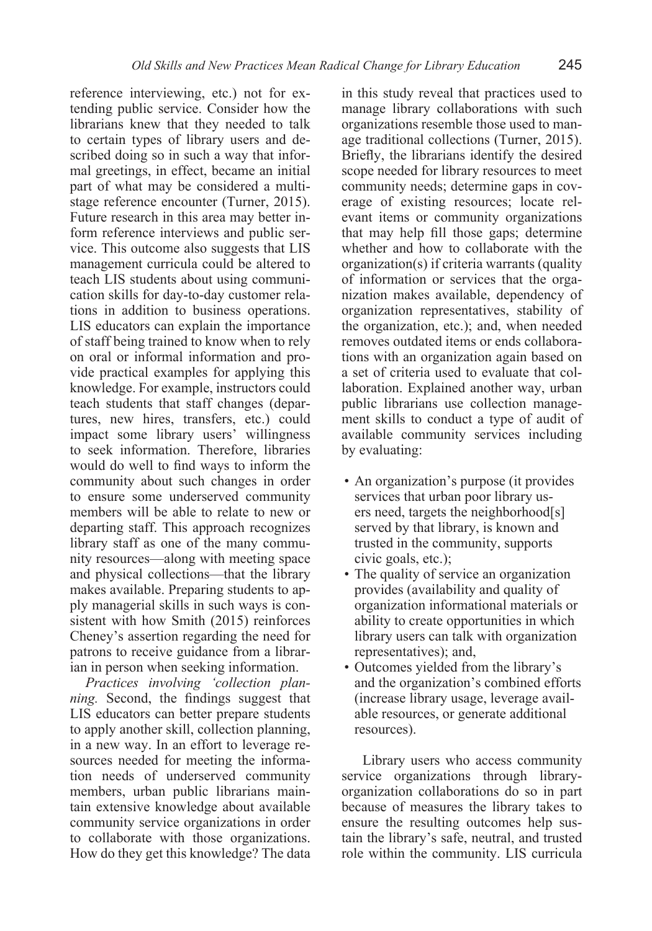reference interviewing, etc.) not for extending public service. Consider how the librarians knew that they needed to talk to certain types of library users and described doing so in such a way that informal greetings, in effect, became an initial part of what may be considered a multistage reference encounter (Turner, 2015). Future research in this area may better inform reference interviews and public service. This outcome also suggests that LIS management curricula could be altered to teach LIS students about using communication skills for day-to-day customer relations in addition to business operations. LIS educators can explain the importance of staff being trained to know when to rely on oral or informal information and provide practical examples for applying this knowledge. For example, instructors could teach students that staff changes (departures, new hires, transfers, etc.) could impact some library users' willingness to seek information. Therefore, libraries would do well to find ways to inform the community about such changes in order to ensure some underserved community members will be able to relate to new or departing staff. This approach recognizes library staff as one of the many community resources—along with meeting space and physical collections—that the library makes available. Preparing students to apply managerial skills in such ways is consistent with how Smith (2015) reinforces Cheney's assertion regarding the need for patrons to receive guidance from a librarian in person when seeking information.

*Practices involving 'collection planning.* Second, the findings suggest that LIS educators can better prepare students to apply another skill, collection planning, in a new way. In an effort to leverage resources needed for meeting the information needs of underserved community members, urban public librarians maintain extensive knowledge about available community service organizations in order to collaborate with those organizations. How do they get this knowledge? The data in this study reveal that practices used to manage library collaborations with such organizations resemble those used to manage traditional collections (Turner, 2015). Briefly, the librarians identify the desired scope needed for library resources to meet community needs; determine gaps in coverage of existing resources; locate relevant items or community organizations that may help fill those gaps; determine whether and how to collaborate with the organization(s) if criteria warrants (quality of information or services that the organization makes available, dependency of organization representatives, stability of the organization, etc.); and, when needed removes outdated items or ends collaborations with an organization again based on a set of criteria used to evaluate that collaboration. Explained another way, urban public librarians use collection management skills to conduct a type of audit of available community services including by evaluating:

- An organization's purpose (it provides services that urban poor library users need, targets the neighborhood[s] served by that library, is known and trusted in the community, supports civic goals, etc.);
- The quality of service an organization provides (availability and quality of organization informational materials or ability to create opportunities in which library users can talk with organization representatives); and,
- Outcomes yielded from the library's and the organization's combined efforts (increase library usage, leverage available resources, or generate additional resources).

 Library users who access community service organizations through libraryorganization collaborations do so in part because of measures the library takes to ensure the resulting outcomes help sustain the library's safe, neutral, and trusted role within the community. LIS curricula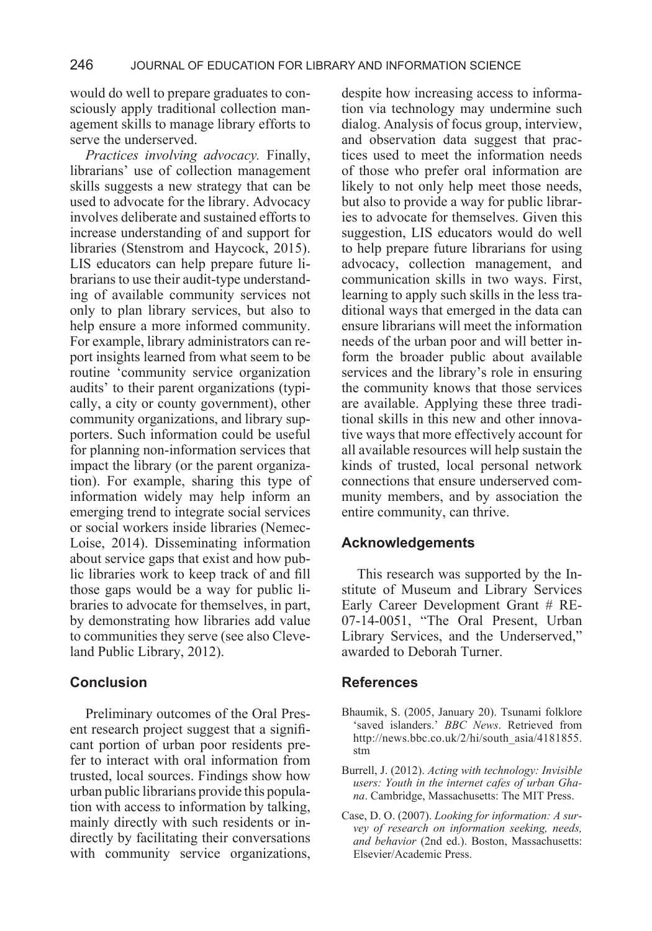would do well to prepare graduates to consciously apply traditional collection management skills to manage library efforts to serve the underserved.

*Practices involving advocacy.* Finally, librarians' use of collection management skills suggests a new strategy that can be used to advocate for the library. Advocacy involves deliberate and sustained efforts to increase understanding of and support for libraries (Stenstrom and Haycock, 2015). LIS educators can help prepare future librarians to use their audit-type understanding of available community services not only to plan library services, but also to help ensure a more informed community. For example, library administrators can report insights learned from what seem to be routine 'community service organization audits' to their parent organizations (typically, a city or county government), other community organizations, and library supporters. Such information could be useful for planning non-information services that impact the library (or the parent organization). For example, sharing this type of information widely may help inform an emerging trend to integrate social services or social workers inside libraries (Nemec-Loise, 2014). Disseminating information about service gaps that exist and how public libraries work to keep track of and fill those gaps would be a way for public libraries to advocate for themselves, in part, by demonstrating how libraries add value to communities they serve (see also Cleveland Public Library, 2012).

#### **Conclusion**

Preliminary outcomes of the Oral Present research project suggest that a significant portion of urban poor residents prefer to interact with oral information from trusted, local sources. Findings show how urban public librarians provide this population with access to information by talking, mainly directly with such residents or indirectly by facilitating their conversations with community service organizations,

despite how increasing access to information via technology may undermine such dialog. Analysis of focus group, interview, and observation data suggest that practices used to meet the information needs of those who prefer oral information are likely to not only help meet those needs, but also to provide a way for public libraries to advocate for themselves. Given this suggestion, LIS educators would do well to help prepare future librarians for using advocacy, collection management, and communication skills in two ways. First, learning to apply such skills in the less traditional ways that emerged in the data can ensure librarians will meet the information needs of the urban poor and will better inform the broader public about available services and the library's role in ensuring the community knows that those services are available. Applying these three traditional skills in this new and other innovative ways that more effectively account for all available resources will help sustain the kinds of trusted, local personal network connections that ensure underserved community members, and by association the entire community, can thrive.

#### **Acknowledgements**

This research was supported by the Institute of Museum and Library Services Early Career Development Grant # RE-07-14-0051, "The Oral Present, Urban Library Services, and the Underserved," awarded to Deborah Turner.

#### **References**

- Bhaumik, S. (2005, January 20). Tsunami folklore 'saved islanders.' *BBC News*. Retrieved from http://news.bbc.co.uk/2/hi/south\_asia/4181855. stm
- Burrell, J. (2012). *Acting with technology: Invisible users: Youth in the internet cafes of urban Ghana*. Cambridge, Massachusetts: The MIT Press.
- Case, D. O. (2007). *Looking for information: A survey of research on information seeking, needs, and behavior* (2nd ed.). Boston, Massachusetts: Elsevier/Academic Press.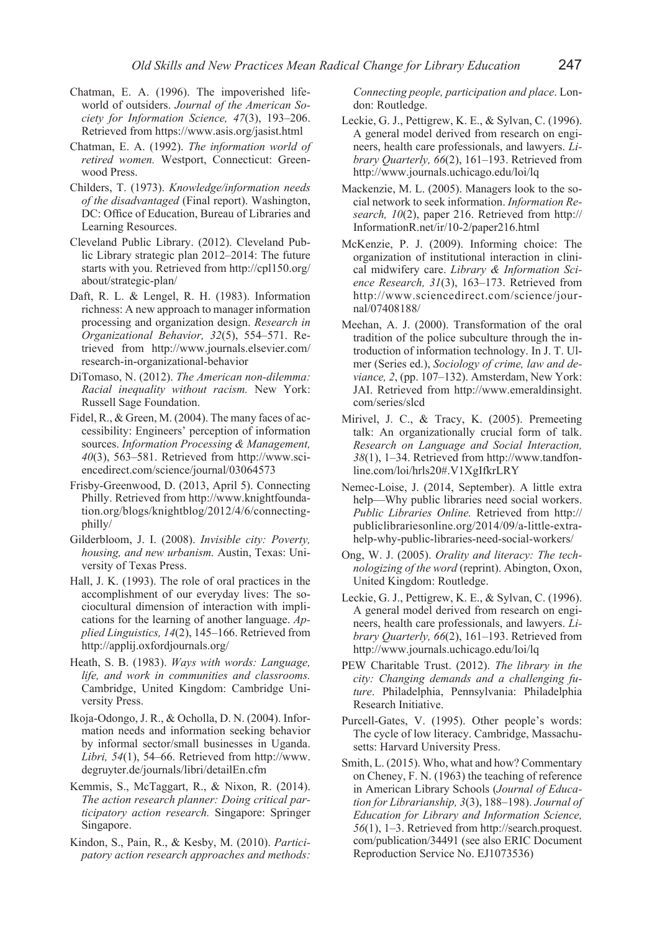- Chatman, E. A. (1996). The impoverished lifeworld of outsiders. *Journal of the American Society for Information Science, 47*(3), 193–206. Retrieved from https://www.asis.org/jasist.html
- Chatman, E. A. (1992). *The information world of retired women.* Westport, Connecticut: Greenwood Press.
- Childers, T. (1973). *Knowledge/information needs of the disadvantaged* (Final report). Washington, DC: Office of Education, Bureau of Libraries and Learning Resources.
- Cleveland Public Library. (2012). Cleveland Public Library strategic plan 2012–2014: The future starts with you. Retrieved from http://cpl150.org/ about/strategic-plan/
- Daft, R. L. & Lengel, R. H. (1983). Information richness: A new approach to manager information processing and organization design. *Research in Organizational Behavior, 32*(5), 554–571. Retrieved from http://www.journals.elsevier.com/ research-in-organizational-behavior
- DiTomaso, N. (2012). *The American non-dilemma: Racial inequality without racism.* New York: Russell Sage Foundation.
- Fidel, R., & Green, M. (2004). The many faces of accessibility: Engineers' perception of information sources. *Information Processing & Management, 40*(3), 563–581. Retrieved from http://www.sciencedirect.com/science/journal/03064573
- Frisby-Greenwood, D. (2013, April 5). Connecting Philly. Retrieved from http://www.knightfoundation.org/blogs/knightblog/2012/4/6/connectingphilly/
- Gilderbloom, J. I. (2008). *Invisible city: Poverty, housing, and new urbanism.* Austin, Texas: University of Texas Press.
- Hall, J. K. (1993). The role of oral practices in the accomplishment of our everyday lives: The sociocultural dimension of interaction with implications for the learning of another language. *Applied Linguistics, 14*(2), 145–166. Retrieved from http://applij.oxfordjournals.org/
- Heath, S. B. (1983). *Ways with words: Language, life, and work in communities and classrooms.*  Cambridge, United Kingdom: Cambridge University Press.
- Ikoja-Odongo, J. R., & Ocholla, D. N. (2004). Information needs and information seeking behavior by informal sector/small businesses in Uganda. *Libri, 54*(1), 54–66. Retrieved from http://www. degruyter.de/journals/libri/detailEn.cfm
- Kemmis, S., McTaggart, R., & Nixon, R. (2014). *The action research planner: Doing critical participatory action research.* Singapore: Springer Singapore.
- Kindon, S., Pain, R., & Kesby, M. (2010). *Participatory action research approaches and methods:*

*Connecting people, participation and place*. London: Routledge.

- Leckie, G. J., Pettigrew, K. E., & Sylvan, C. (1996). A general model derived from research on engineers, health care professionals, and lawyers. *Library Quarterly, 66*(2), 161–193. Retrieved from http://www.journals.uchicago.edu/loi/lq
- Mackenzie, M. L. (2005). Managers look to the social network to seek information. *Information Research, 10*(2), paper 216. Retrieved from http:// InformationR.net/ir/10-2/paper216.html
- McKenzie, P. J. (2009). Informing choice: The organization of institutional interaction in clinical midwifery care. *Library & Information Science Research, 31*(3), 163–173. Retrieved from http://www.sciencedirect.com/science/journal/07408188/
- Meehan, A. J. (2000). Transformation of the oral tradition of the police subculture through the introduction of information technology. In J. T. Ulmer (Series ed.), *Sociology of crime, law and deviance, 2*, (pp. 107–132). Amsterdam, New York: JAI. Retrieved from http://www.emeraldinsight. com/series/slcd
- Mirivel, J. C., & Tracy, K. (2005). Premeeting talk: An organizationally crucial form of talk. *Research on Language and Social Interaction, 38*(1), 1–34. Retrieved from http://www.tandfonline.com/loi/hrls20#.V1XgIfkrLRY
- Nemec-Loise, J. (2014, September). A little extra help—Why public libraries need social workers. *Public Libraries Online.* Retrieved from http:// publiclibrariesonline.org/2014/09/a-little-extrahelp-why-public-libraries-need-social-workers/
- Ong, W. J. (2005). *Orality and literacy: The technologizing of the word* (reprint). Abington, Oxon, United Kingdom: Routledge.
- Leckie, G. J., Pettigrew, K. E., & Sylvan, C. (1996). A general model derived from research on engineers, health care professionals, and lawyers. *Library Quarterly, 66*(2), 161–193. Retrieved from http://www.journals.uchicago.edu/loi/lq
- PEW Charitable Trust. (2012). *The library in the city: Changing demands and a challenging future*. Philadelphia, Pennsylvania: Philadelphia Research Initiative.
- Purcell-Gates, V. (1995). Other people's words: The cycle of low literacy. Cambridge, Massachusetts: Harvard University Press.
- Smith, L. (2015). Who, what and how? Commentary on Cheney, F. N. (1963) the teaching of reference in American Library Schools (*Journal of Education for Librarianship, 3*(3), 188–198). *Journal of Education for Library and Information Science, 56*(1), 1–3. Retrieved from http://search.proquest. com/publication/34491 (see also ERIC Document Reproduction Service No. EJ1073536)